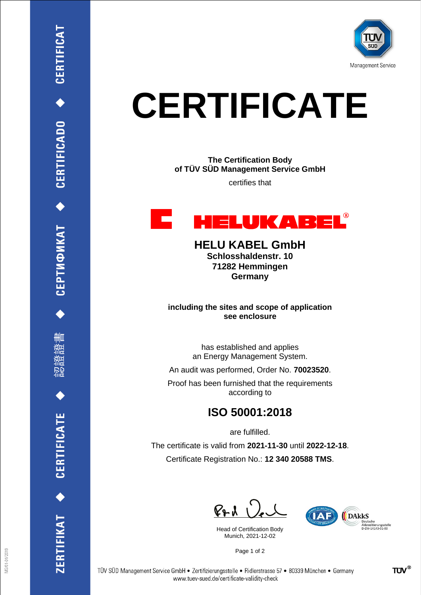

## **CERTIFICATE**

**The Certification Body of TÜV SÜD Management Service GmbH**

certifies that



**HELU KABEL GmbH Schlosshaldenstr. 10 71282 Hemmingen Germany**

**including the sites and scope of application see enclosure**

> has established and applies an Energy Management System.

An audit was performed, Order No. **70023520**.

Proof has been furnished that the requirements according to

## **ISO 50001:2018**

are fulfilled.

The certificate is valid from **2021-11-30** until **2022-12-18**. Certificate Registration No.: **12 340 20588 TMS**.

 $P_{\text{P}}\lambda$ 

Head of Certification Body Munich, 2021-12-02



Page 1 of 2

CEPTMФИКАТ ◆ CERTIFICADO ◆ CERTIFICAT

删

ZERTIFIKAT ◆ CERTIFICATE